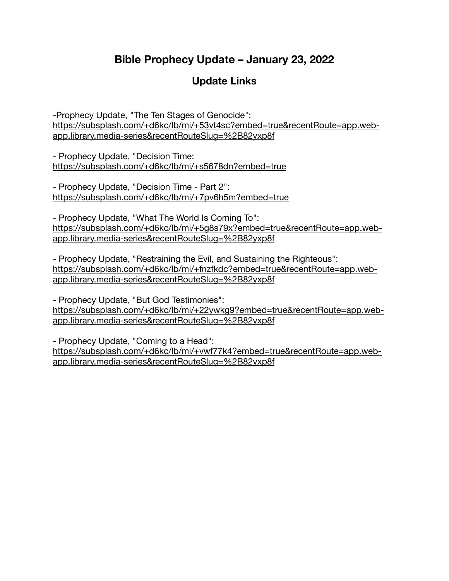# **Bible Prophecy Update – January 23, 2022**

# **Update Links**

-Prophecy Update, "The Ten Stages of Genocide": [https://subsplash.com/+d6kc/lb/mi/+53vt4sc?embed=true&recentRoute=app.web](https://subsplash.com/+d6kc/lb/mi/+53vt4sc?embed=true&recentRoute=app.web-app.library.media-series&recentRouteSlug=%2B82yxp8f)[app.library.media-series&recentRouteSlug=%2B82yxp8f](https://subsplash.com/+d6kc/lb/mi/+53vt4sc?embed=true&recentRoute=app.web-app.library.media-series&recentRouteSlug=%2B82yxp8f)

- Prophecy Update, "Decision Time: <https://subsplash.com/+d6kc/lb/mi/+s5678dn?embed=true>

- Prophecy Update, "Decision Time - Part 2": <https://subsplash.com/+d6kc/lb/mi/+7pv6h5m?embed=true>

- Prophecy Update, "What The World Is Coming To": [https://subsplash.com/+d6kc/lb/mi/+5g8s79x?embed=true&recentRoute=app.web](https://subsplash.com/+d6kc/lb/mi/+5g8s79x?embed=true&recentRoute=app.web-app.library.media-series&recentRouteSlug=%2B82yxp8f)[app.library.media-series&recentRouteSlug=%2B82yxp8f](https://subsplash.com/+d6kc/lb/mi/+5g8s79x?embed=true&recentRoute=app.web-app.library.media-series&recentRouteSlug=%2B82yxp8f)

- Prophecy Update, "Restraining the Evil, and Sustaining the Righteous": [https://subsplash.com/+d6kc/lb/mi/+fnzfkdc?embed=true&recentRoute=app.web](https://subsplash.com/+d6kc/lb/mi/+fnzfkdc?embed=true&recentRoute=app.web-app.library.media-series&recentRouteSlug=%2B82yxp8f)[app.library.media-series&recentRouteSlug=%2B82yxp8f](https://subsplash.com/+d6kc/lb/mi/+fnzfkdc?embed=true&recentRoute=app.web-app.library.media-series&recentRouteSlug=%2B82yxp8f)

- Prophecy Update, "But God Testimonies": [https://subsplash.com/+d6kc/lb/mi/+22ywkg9?embed=true&recentRoute=app.web](https://subsplash.com/+d6kc/lb/mi/+22ywkg9?embed=true&recentRoute=app.web-app.library.media-series&recentRouteSlug=%2B82yxp8f)[app.library.media-series&recentRouteSlug=%2B82yxp8f](https://subsplash.com/+d6kc/lb/mi/+22ywkg9?embed=true&recentRoute=app.web-app.library.media-series&recentRouteSlug=%2B82yxp8f)

- Prophecy Update, "Coming to a Head": [https://subsplash.com/+d6kc/lb/mi/+vwf77k4?embed=true&recentRoute=app.web](https://subsplash.com/+d6kc/lb/mi/+vwf77k4?embed=true&recentRoute=app.web-app.library.media-series&recentRouteSlug=%2B82yxp8f)[app.library.media-series&recentRouteSlug=%2B82yxp8f](https://subsplash.com/+d6kc/lb/mi/+vwf77k4?embed=true&recentRoute=app.web-app.library.media-series&recentRouteSlug=%2B82yxp8f)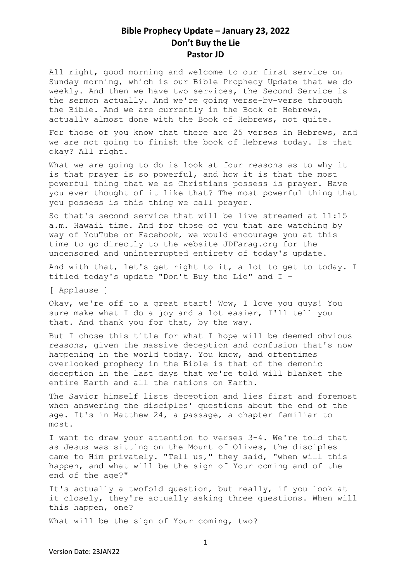All right, good morning and welcome to our first service on Sunday morning, which is our Bible Prophecy Update that we do weekly. And then we have two services, the Second Service is the sermon actually. And we're going verse-by-verse through the Bible. And we are currently in the Book of Hebrews, actually almost done with the Book of Hebrews, not quite.

For those of you know that there are 25 verses in Hebrews, and we are not going to finish the book of Hebrews today. Is that okay? All right.

What we are going to do is look at four reasons as to why it is that prayer is so powerful, and how it is that the most powerful thing that we as Christians possess is prayer. Have you ever thought of it like that? The most powerful thing that you possess is this thing we call prayer.

So that's second service that will be live streamed at 11:15 a.m. Hawaii time. And for those of you that are watching by way of YouTube or Facebook, we would encourage you at this time to go directly to the website JDFarag.org for the uncensored and uninterrupted entirety of today's update.

And with that, let's get right to it, a lot to get to today. I titled today's update "Don't Buy the Lie" and I –

[ Applause ]

Okay, we're off to a great start! Wow, I love you guys! You sure make what I do a joy and a lot easier, I'll tell you that. And thank you for that, by the way.

But I chose this title for what I hope will be deemed obvious reasons, given the massive deception and confusion that's now happening in the world today. You know, and oftentimes overlooked prophecy in the Bible is that of the demonic deception in the last days that we're told will blanket the entire Earth and all the nations on Earth.

The Savior himself lists deception and lies first and foremost when answering the disciples' questions about the end of the age. It's in Matthew 24, a passage, a chapter familiar to most.

I want to draw your attention to verses 3-4. We're told that as Jesus was sitting on the Mount of Olives, the disciples came to Him privately. "Tell us," they said, "when will this happen, and what will be the sign of Your coming and of the end of the age?"

It's actually a twofold question, but really, if you look at it closely, they're actually asking three questions. When will this happen, one?

What will be the sign of Your coming, two?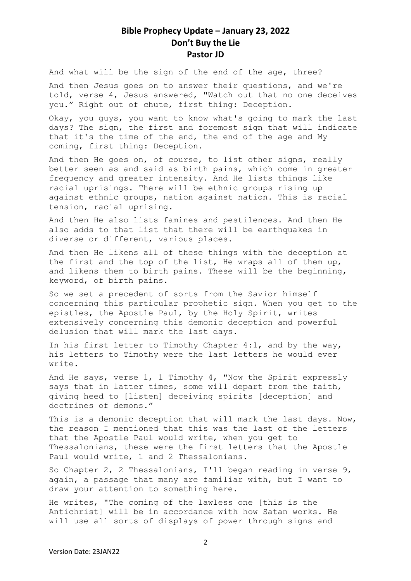And what will be the sign of the end of the age, three?

And then Jesus goes on to answer their questions, and we're told, verse 4, Jesus answered, "Watch out that no one deceives you." Right out of chute, first thing: Deception.

Okay, you guys, you want to know what's going to mark the last days? The sign, the first and foremost sign that will indicate that it's the time of the end, the end of the age and My coming, first thing: Deception.

And then He goes on, of course, to list other signs, really better seen as and said as birth pains, which come in greater frequency and greater intensity. And He lists things like racial uprisings. There will be ethnic groups rising up against ethnic groups, nation against nation. This is racial tension, racial uprising.

And then He also lists famines and pestilences. And then He also adds to that list that there will be earthquakes in diverse or different, various places.

And then He likens all of these things with the deception at the first and the top of the list, He wraps all of them up, and likens them to birth pains. These will be the beginning, keyword, of birth pains.

So we set a precedent of sorts from the Savior himself concerning this particular prophetic sign. When you get to the epistles, the Apostle Paul, by the Holy Spirit, writes extensively concerning this demonic deception and powerful delusion that will mark the last days.

In his first letter to Timothy Chapter 4:1, and by the way, his letters to Timothy were the last letters he would ever write.

And He says, verse 1, 1 Timothy 4, "Now the Spirit expressly says that in latter times, some will depart from the faith, giving heed to [listen] deceiving spirits [deception] and doctrines of demons."

This is a demonic deception that will mark the last days. Now, the reason I mentioned that this was the last of the letters that the Apostle Paul would write, when you get to Thessalonians, these were the first letters that the Apostle Paul would write, 1 and 2 Thessalonians.

So Chapter 2, 2 Thessalonians, I'll began reading in verse 9, again, a passage that many are familiar with, but I want to draw your attention to something here.

He writes, "The coming of the lawless one [this is the Antichrist] will be in accordance with how Satan works. He will use all sorts of displays of power through signs and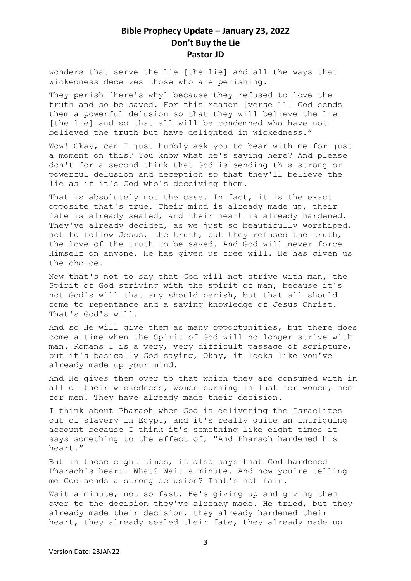wonders that serve the lie [the lie] and all the ways that wickedness deceives those who are perishing.

They perish [here's why] because they refused to love the truth and so be saved. For this reason [verse 11] God sends them a powerful delusion so that they will believe the lie [the lie] and so that all will be condemned who have not believed the truth but have delighted in wickedness."

Wow! Okay, can I just humbly ask you to bear with me for just a moment on this? You know what he's saying here? And please don't for a second think that God is sending this strong or powerful delusion and deception so that they'll believe the lie as if it's God who's deceiving them.

That is absolutely not the case. In fact, it is the exact opposite that's true. Their mind is already made up, their fate is already sealed, and their heart is already hardened. They've already decided, as we just so beautifully worshiped, not to follow Jesus, the truth, but they refused the truth, the love of the truth to be saved. And God will never force Himself on anyone. He has given us free will. He has given us the choice.

Now that's not to say that God will not strive with man, the Spirit of God striving with the spirit of man, because it's not God's will that any should perish, but that all should come to repentance and a saving knowledge of Jesus Christ. That's God's will.

And so He will give them as many opportunities, but there does come a time when the Spirit of God will no longer strive with man. Romans 1 is a very, very difficult passage of scripture, but it's basically God saying, Okay, it looks like you've already made up your mind.

And He gives them over to that which they are consumed with in all of their wickedness, women burning in lust for women, men for men. They have already made their decision.

I think about Pharaoh when God is delivering the Israelites out of slavery in Egypt, and it's really quite an intriguing account because I think it's something like eight times it says something to the effect of, "And Pharaoh hardened his heart."

But in those eight times, it also says that God hardened Pharaoh's heart. What? Wait a minute. And now you're telling me God sends a strong delusion? That's not fair.

Wait a minute, not so fast. He's giving up and giving them over to the decision they've already made. He tried, but they already made their decision, they already hardened their heart, they already sealed their fate, they already made up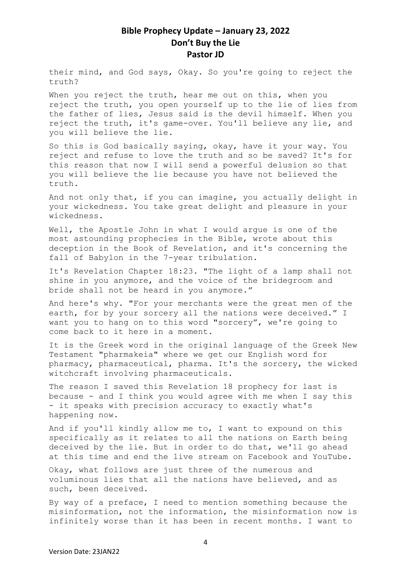their mind, and God says, Okay. So you're going to reject the truth?

When you reject the truth, hear me out on this, when you reject the truth, you open yourself up to the lie of lies from the father of lies, Jesus said is the devil himself. When you reject the truth, it's game-over. You'll believe any lie, and you will believe the lie.

So this is God basically saying, okay, have it your way. You reject and refuse to love the truth and so be saved? It's for this reason that now I will send a powerful delusion so that you will believe the lie because you have not believed the truth.

And not only that, if you can imagine, you actually delight in your wickedness. You take great delight and pleasure in your wickedness.

Well, the Apostle John in what I would argue is one of the most astounding prophecies in the Bible, wrote about this deception in the Book of Revelation, and it's concerning the fall of Babylon in the 7-year tribulation.

It's Revelation Chapter 18:23. "The light of a lamp shall not shine in you anymore, and the voice of the bridegroom and bride shall not be heard in you anymore."

And here's why. "For your merchants were the great men of the earth, for by your sorcery all the nations were deceived." I want you to hang on to this word "sorcery", we're going to come back to it here in a moment.

It is the Greek word in the original language of the Greek New Testament "pharmakeia" where we get our English word for pharmacy, pharmaceutical, pharma. It's the sorcery, the wicked witchcraft involving pharmaceuticals.

The reason I saved this Revelation 18 prophecy for last is because - and I think you would agree with me when I say this - it speaks with precision accuracy to exactly what's happening now.

And if you'll kindly allow me to, I want to expound on this specifically as it relates to all the nations on Earth being deceived by the lie. But in order to do that, we'll go ahead at this time and end the live stream on Facebook and YouTube.

Okay, what follows are just three of the numerous and voluminous lies that all the nations have believed, and as such, been deceived.

By way of a preface, I need to mention something because the misinformation, not the information, the misinformation now is infinitely worse than it has been in recent months. I want to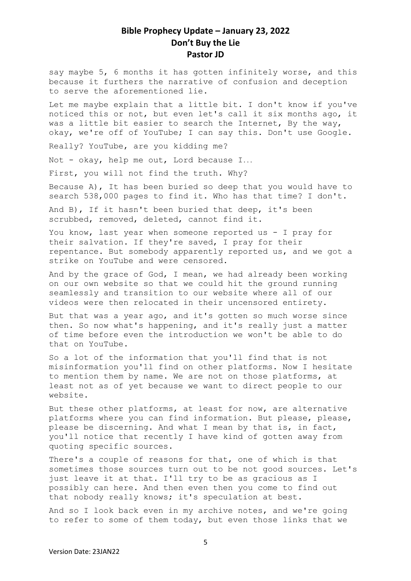say maybe 5, 6 months it has gotten infinitely worse, and this because it furthers the narrative of confusion and deception to serve the aforementioned lie.

Let me maybe explain that a little bit. I don't know if you've noticed this or not, but even let's call it six months ago, it was a little bit easier to search the Internet, By the way, okay, we're off of YouTube; I can say this. Don't use Google.

Really? YouTube, are you kidding me?

Not - okay, help me out, Lord because I...

First, you will not find the truth. Why?

Because A), It has been buried so deep that you would have to search 538,000 pages to find it. Who has that time? I don't.

And B), If it hasn't been buried that deep, it's been scrubbed, removed, deleted, cannot find it.

You know, last year when someone reported us - I pray for their salvation. If they're saved, I pray for their repentance. But somebody apparently reported us, and we got a strike on YouTube and were censored.

And by the grace of God, I mean, we had already been working on our own website so that we could hit the ground running seamlessly and transition to our website where all of our videos were then relocated in their uncensored entirety.

But that was a year ago, and it's gotten so much worse since then. So now what's happening, and it's really just a matter of time before even the introduction we won't be able to do that on YouTube.

So a lot of the information that you'll find that is not misinformation you'll find on other platforms. Now I hesitate to mention them by name. We are not on those platforms, at least not as of yet because we want to direct people to our website.

But these other platforms, at least for now, are alternative platforms where you can find information. But please, please, please be discerning. And what I mean by that is, in fact, you'll notice that recently I have kind of gotten away from quoting specific sources.

There's a couple of reasons for that, one of which is that sometimes those sources turn out to be not good sources. Let's just leave it at that. I'll try to be as gracious as I possibly can here. And then even then you come to find out that nobody really knows; it's speculation at best.

And so I look back even in my archive notes, and we're going to refer to some of them today, but even those links that we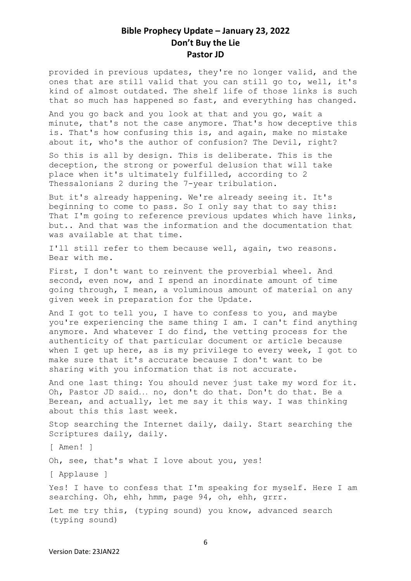provided in previous updates, they're no longer valid, and the ones that are still valid that you can still go to, well, it's kind of almost outdated. The shelf life of those links is such that so much has happened so fast, and everything has changed.

And you go back and you look at that and you go, wait a minute, that's not the case anymore. That's how deceptive this is. That's how confusing this is, and again, make no mistake about it, who's the author of confusion? The Devil, right?

So this is all by design. This is deliberate. This is the deception, the strong or powerful delusion that will take place when it's ultimately fulfilled, according to 2 Thessalonians 2 during the 7-year tribulation.

But it's already happening. We're already seeing it. It's beginning to come to pass. So I only say that to say this: That I'm going to reference previous updates which have links, but.. And that was the information and the documentation that was available at that time.

I'll still refer to them because well, again, two reasons. Bear with me.

First, I don't want to reinvent the proverbial wheel. And second, even now, and I spend an inordinate amount of time going through, I mean, a voluminous amount of material on any given week in preparation for the Update.

And I got to tell you, I have to confess to you, and maybe you're experiencing the same thing I am. I can't find anything anymore. And whatever I do find, the vetting process for the authenticity of that particular document or article because when I get up here, as is my privilege to every week, I got to make sure that it's accurate because I don't want to be sharing with you information that is not accurate.

And one last thing: You should never just take my word for it. Oh, Pastor JD said... no, don't do that. Don't do that. Be a Berean, and actually, let me say it this way. I was thinking about this this last week.

Stop searching the Internet daily, daily. Start searching the Scriptures daily, daily.

[ Amen! ]

Oh, see, that's what I love about you, yes!

[ Applause ]

Yes! I have to confess that I'm speaking for myself. Here I am searching. Oh, ehh, hmm, page 94, oh, ehh, grrr.

Let me try this, (typing sound) you know, advanced search (typing sound)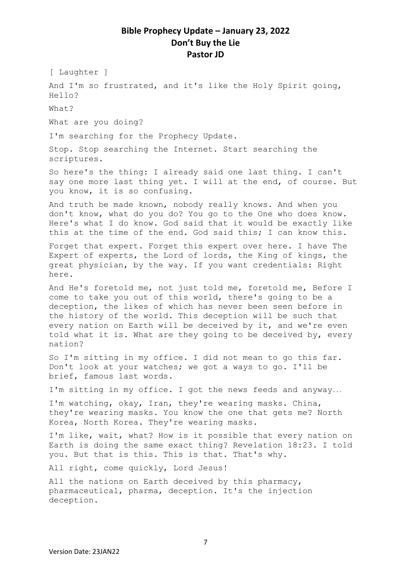[ Laughter ]

And I'm so frustrated, and it's like the Holy Spirit going, Hello?

What?

What are you doing?

I'm searching for the Prophecy Update.

Stop. Stop searching the Internet. Start searching the scriptures.

So here's the thing: I already said one last thing. I can't say one more last thing yet. I will at the end, of course. But you know, it is so confusing.

And truth be made known, nobody really knows. And when you don't know, what do you do? You go to the One who does know. Here's what I do know. God said that it would be exactly like this at the time of the end. God said this; I can know this.

Forget that expert. Forget this expert over here. I have The Expert of experts, the Lord of lords, the King of kings, the great physician, by the way. If you want credentials: Right here.

And He's foretold me, not just told me, foretold me, Before I come to take you out of this world, there's going to be a deception, the likes of which has never been seen before in the history of the world. This deception will be such that every nation on Earth will be deceived by it, and we're even told what it is. What are they going to be deceived by, every nation?

So I'm sitting in my office. I did not mean to go this far. Don't look at your watches; we got a ways to go. I'll be brief, famous last words.

I'm sitting in my office. I got the news feeds and anyway...

I'm watching, okay, Iran, they're wearing masks. China, they're wearing masks. You know the one that gets me? North Korea, North Korea. They're wearing masks.

I'm like, wait, what? How is it possible that every nation on Earth is doing the same exact thing? Revelation 18:23. I told you. But that is this. This is that. That's why.

All right, come quickly, Lord Jesus!

All the nations on Earth deceived by this pharmacy, pharmaceutical, pharma, deception. It's the injection deception.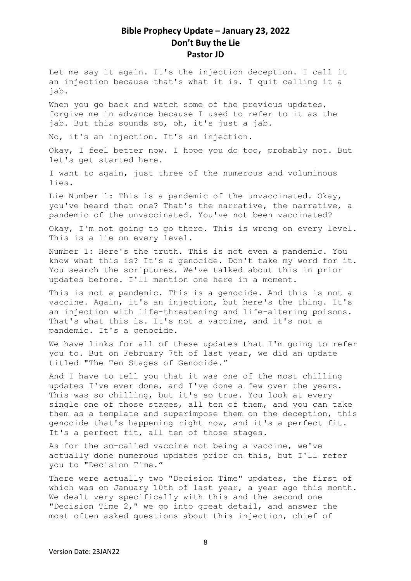Let me say it again. It's the injection deception. I call it an injection because that's what it is. I quit calling it a jab.

When you go back and watch some of the previous updates, forgive me in advance because I used to refer to it as the jab. But this sounds so, oh, it's just a jab.

No, it's an injection. It's an injection.

Okay, I feel better now. I hope you do too, probably not. But let's get started here.

I want to again, just three of the numerous and voluminous lies.

Lie Number 1: This is a pandemic of the unvaccinated. Okay, you've heard that one? That's the narrative, the narrative, a pandemic of the unvaccinated. You've not been vaccinated?

Okay, I'm not going to go there. This is wrong on every level. This is a lie on every level.

Number 1: Here's the truth. This is not even a pandemic. You know what this is? It's a genocide. Don't take my word for it. You search the scriptures. We've talked about this in prior updates before. I'll mention one here in a moment.

This is not a pandemic. This is a genocide. And this is not a vaccine. Again, it's an injection, but here's the thing. It's an injection with life-threatening and life-altering poisons. That's what this is. It's not a vaccine, and it's not a pandemic. It's a genocide.

We have links for all of these updates that I'm going to refer you to. But on February 7th of last year, we did an update titled "The Ten Stages of Genocide."

And I have to tell you that it was one of the most chilling updates I've ever done, and I've done a few over the years. This was so chilling, but it's so true. You look at every single one of those stages, all ten of them, and you can take them as a template and superimpose them on the deception, this genocide that's happening right now, and it's a perfect fit. It's a perfect fit, all ten of those stages.

As for the so-called vaccine not being a vaccine, we've actually done numerous updates prior on this, but I'll refer you to "Decision Time."

There were actually two "Decision Time" updates, the first of which was on January 10th of last year, a year ago this month. We dealt very specifically with this and the second one "Decision Time 2," we go into great detail, and answer the most often asked questions about this injection, chief of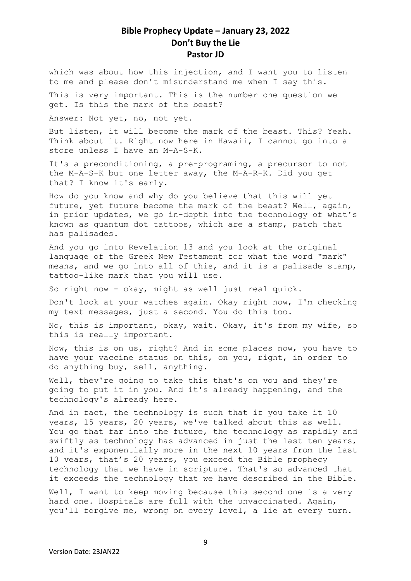which was about how this injection, and I want you to listen to me and please don't misunderstand me when I say this.

This is very important. This is the number one question we get. Is this the mark of the beast?

Answer: Not yet, no, not yet.

But listen, it will become the mark of the beast. This? Yeah. Think about it. Right now here in Hawaii, I cannot go into a store unless I have an M-A-S-K.

It's a preconditioning, a pre-programing, a precursor to not the M-A-S-K but one letter away, the M-A-R-K. Did you get that? I know it's early.

How do you know and why do you believe that this will yet future, yet future become the mark of the beast? Well, again, in prior updates, we go in-depth into the technology of what's known as quantum dot tattoos, which are a stamp, patch that has palisades.

And you go into Revelation 13 and you look at the original language of the Greek New Testament for what the word "mark" means, and we go into all of this, and it is a palisade stamp, tattoo-like mark that you will use.

So right now - okay, might as well just real quick.

Don't look at your watches again. Okay right now, I'm checking my text messages, just a second. You do this too.

No, this is important, okay, wait. Okay, it's from my wife, so this is really important.

Now, this is on us, right? And in some places now, you have to have your vaccine status on this, on you, right, in order to do anything buy, sell, anything.

Well, they're going to take this that's on you and they're going to put it in you. And it's already happening, and the technology's already here.

And in fact, the technology is such that if you take it 10 years, 15 years, 20 years, we've talked about this as well. You go that far into the future, the technology as rapidly and swiftly as technology has advanced in just the last ten years, and it's exponentially more in the next 10 years from the last 10 years, that's 20 years, you exceed the Bible prophecy technology that we have in scripture. That's so advanced that it exceeds the technology that we have described in the Bible.

Well, I want to keep moving because this second one is a very hard one. Hospitals are full with the unvaccinated. Again, you'll forgive me, wrong on every level, a lie at every turn.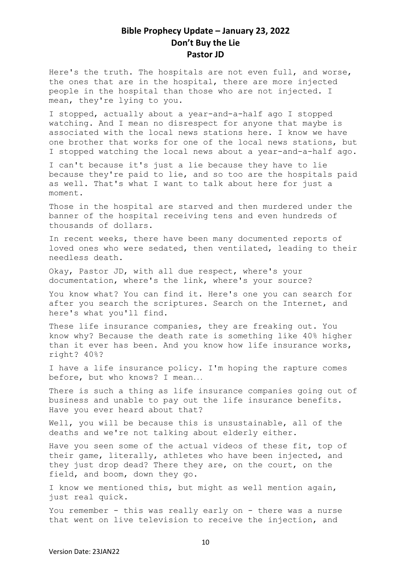Here's the truth. The hospitals are not even full, and worse, the ones that are in the hospital, there are more injected people in the hospital than those who are not injected. I mean, they're lying to you.

I stopped, actually about a year-and-a-half ago I stopped watching. And I mean no disrespect for anyone that maybe is associated with the local news stations here. I know we have one brother that works for one of the local news stations, but I stopped watching the local news about a year-and-a-half ago.

I can't because it's just a lie because they have to lie because they're paid to lie, and so too are the hospitals paid as well. That's what I want to talk about here for just a moment.

Those in the hospital are starved and then murdered under the banner of the hospital receiving tens and even hundreds of thousands of dollars.

In recent weeks, there have been many documented reports of loved ones who were sedated, then ventilated, leading to their needless death.

Okay, Pastor JD, with all due respect, where's your documentation, where's the link, where's your source?

You know what? You can find it. Here's one you can search for after you search the scriptures. Search on the Internet, and here's what you'll find.

These life insurance companies, they are freaking out. You know why? Because the death rate is something like 40% higher than it ever has been. And you know how life insurance works, right? 40%?

I have a life insurance policy. I'm hoping the rapture comes before, but who knows? I mean...

There is such a thing as life insurance companies going out of business and unable to pay out the life insurance benefits. Have you ever heard about that?

Well, you will be because this is unsustainable, all of the deaths and we're not talking about elderly either.

Have you seen some of the actual videos of these fit, top of their game, literally, athletes who have been injected, and they just drop dead? There they are, on the court, on the field, and boom, down they go.

I know we mentioned this, but might as well mention again, just real quick.

You remember - this was really early on - there was a nurse that went on live television to receive the injection, and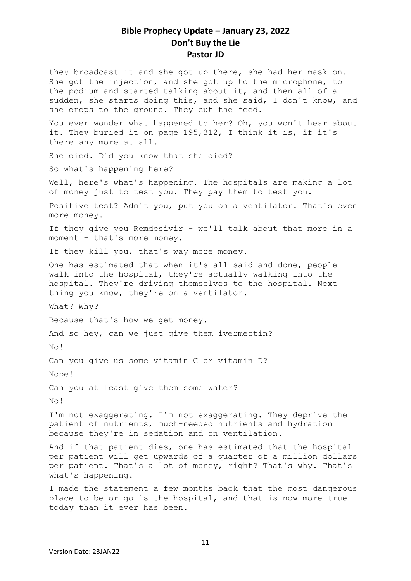they broadcast it and she got up there, she had her mask on. She got the injection, and she got up to the microphone, to the podium and started talking about it, and then all of a sudden, she starts doing this, and she said, I don't know, and she drops to the ground. They cut the feed.

You ever wonder what happened to her? Oh, you won't hear about it. They buried it on page 195,312, I think it is, if it's there any more at all.

She died. Did you know that she died?

So what's happening here?

Well, here's what's happening. The hospitals are making a lot of money just to test you. They pay them to test you.

Positive test? Admit you, put you on a ventilator. That's even more money.

If they give you Remdesivir - we'll talk about that more in a moment - that's more money.

If they kill you, that's way more money.

One has estimated that when it's all said and done, people walk into the hospital, they're actually walking into the hospital. They're driving themselves to the hospital. Next thing you know, they're on a ventilator.

What? Why?

Because that's how we get money.

And so hey, can we just give them ivermectin?

No!

Can you give us some vitamin C or vitamin D?

Nope!

Can you at least give them some water?

No!

I'm not exaggerating. I'm not exaggerating. They deprive the patient of nutrients, much-needed nutrients and hydration because they're in sedation and on ventilation.

And if that patient dies, one has estimated that the hospital per patient will get upwards of a quarter of a million dollars per patient. That's a lot of money, right? That's why. That's what's happening.

I made the statement a few months back that the most dangerous place to be or go is the hospital, and that is now more true today than it ever has been.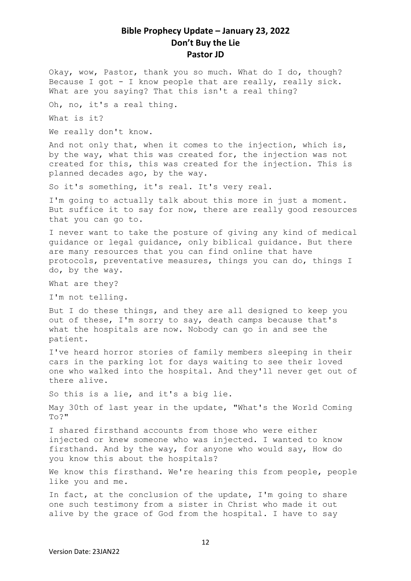Okay, wow, Pastor, thank you so much. What do I do, though? Because I got - I know people that are really, really sick. What are you saying? That this isn't a real thing?

Oh, no, it's a real thing.

What is it?

We really don't know.

And not only that, when it comes to the injection, which is, by the way, what this was created for, the injection was not created for this, this was created for the injection. This is planned decades ago, by the way.

So it's something, it's real. It's very real.

I'm going to actually talk about this more in just a moment. But suffice it to say for now, there are really good resources that you can go to.

I never want to take the posture of giving any kind of medical guidance or legal guidance, only biblical guidance. But there are many resources that you can find online that have protocols, preventative measures, things you can do, things I do, by the way.

What are they?

I'm not telling.

But I do these things, and they are all designed to keep you out of these, I'm sorry to say, death camps because that's what the hospitals are now. Nobody can go in and see the patient.

I've heard horror stories of family members sleeping in their cars in the parking lot for days waiting to see their loved one who walked into the hospital. And they'll never get out of there alive.

So this is a lie, and it's a big lie.

May 30th of last year in the update, "What's the World Coming  $TO2"$ 

I shared firsthand accounts from those who were either injected or knew someone who was injected. I wanted to know firsthand. And by the way, for anyone who would say, How do you know this about the hospitals?

We know this firsthand. We're hearing this from people, people like you and me.

In fact, at the conclusion of the update, I'm going to share one such testimony from a sister in Christ who made it out alive by the grace of God from the hospital. I have to say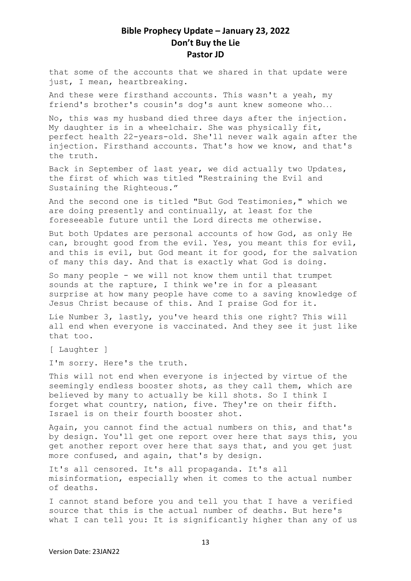that some of the accounts that we shared in that update were just, I mean, heartbreaking.

And these were firsthand accounts. This wasn't a yeah, my friend's brother's cousin's dog's aunt knew someone who...

No, this was my husband died three days after the injection. My daughter is in a wheelchair. She was physically fit, perfect health 22-years-old. She'll never walk again after the injection. Firsthand accounts. That's how we know, and that's the truth.

Back in September of last year, we did actually two Updates, the first of which was titled "Restraining the Evil and Sustaining the Righteous."

And the second one is titled "But God Testimonies," which we are doing presently and continually, at least for the foreseeable future until the Lord directs me otherwise.

But both Updates are personal accounts of how God, as only He can, brought good from the evil. Yes, you meant this for evil, and this is evil, but God meant it for good, for the salvation of many this day. And that is exactly what God is doing.

So many people - we will not know them until that trumpet sounds at the rapture, I think we're in for a pleasant surprise at how many people have come to a saving knowledge of Jesus Christ because of this. And I praise God for it.

Lie Number 3, lastly, you've heard this one right? This will all end when everyone is vaccinated. And they see it just like that too.

[ Laughter ]

I'm sorry. Here's the truth.

This will not end when everyone is injected by virtue of the seemingly endless booster shots, as they call them, which are believed by many to actually be kill shots. So I think I forget what country, nation, five. They're on their fifth. Israel is on their fourth booster shot.

Again, you cannot find the actual numbers on this, and that's by design. You'll get one report over here that says this, you get another report over here that says that, and you get just more confused, and again, that's by design.

It's all censored. It's all propaganda. It's all misinformation, especially when it comes to the actual number of deaths.

I cannot stand before you and tell you that I have a verified source that this is the actual number of deaths. But here's what I can tell you: It is significantly higher than any of us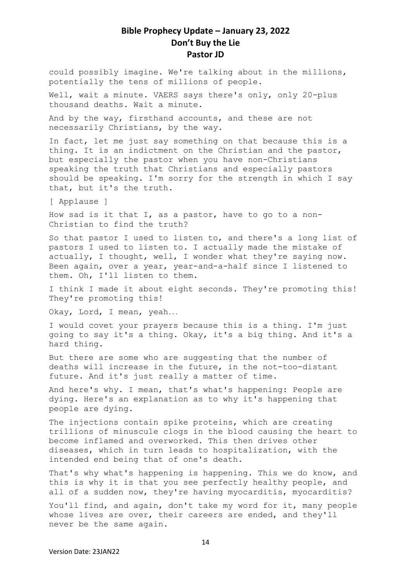could possibly imagine. We're talking about in the millions, potentially the tens of millions of people.

Well, wait a minute. VAERS says there's only, only 20-plus thousand deaths. Wait a minute.

And by the way, firsthand accounts, and these are not necessarily Christians, by the way.

In fact, let me just say something on that because this is a thing. It is an indictment on the Christian and the pastor, but especially the pastor when you have non-Christians speaking the truth that Christians and especially pastors should be speaking. I'm sorry for the strength in which I say that, but it's the truth.

[ Applause ]

How sad is it that I, as a pastor, have to go to a non-Christian to find the truth?

So that pastor I used to listen to, and there's a long list of pastors I used to listen to. I actually made the mistake of actually, I thought, well, I wonder what they're saying now. Been again, over a year, year-and-a-half since I listened to them. Oh, I'll listen to them.

I think I made it about eight seconds. They're promoting this! They're promoting this!

Okay, Lord, I mean, yeah...

I would covet your prayers because this is a thing. I'm just going to say it's a thing. Okay, it's a big thing. And it's a hard thing.

But there are some who are suggesting that the number of deaths will increase in the future, in the not-too-distant future. And it's just really a matter of time.

And here's why. I mean, that's what's happening: People are dying. Here's an explanation as to why it's happening that people are dying.

The injections contain spike proteins, which are creating trillions of minuscule clogs in the blood causing the heart to become inflamed and overworked. This then drives other diseases, which in turn leads to hospitalization, with the intended end being that of one's death.

That's why what's happening is happening. This we do know, and this is why it is that you see perfectly healthy people, and all of a sudden now, they're having myocarditis, myocarditis?

You'll find, and again, don't take my word for it, many people whose lives are over, their careers are ended, and they'll never be the same again.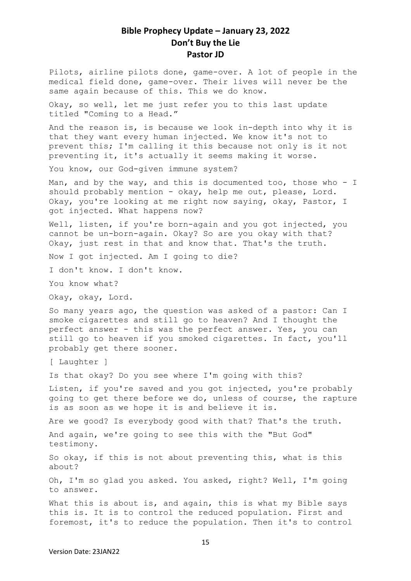Pilots, airline pilots done, game-over. A lot of people in the medical field done, game-over. Their lives will never be the same again because of this. This we do know.

Okay, so well, let me just refer you to this last update titled "Coming to a Head."

And the reason is, is because we look in-depth into why it is that they want every human injected. We know it's not to prevent this; I'm calling it this because not only is it not preventing it, it's actually it seems making it worse.

You know, our God-given immune system?

Man, and by the way, and this is documented too, those who  $-$  I should probably mention - okay, help me out, please, Lord. Okay, you're looking at me right now saying, okay, Pastor, I got injected. What happens now?

Well, listen, if you're born-again and you got injected, you cannot be un-born-again. Okay? So are you okay with that? Okay, just rest in that and know that. That's the truth.

Now I got injected. Am I going to die?

I don't know. I don't know.

You know what?

Okay, okay, Lord.

So many years ago, the question was asked of a pastor: Can I smoke cigarettes and still go to heaven? And I thought the perfect answer - this was the perfect answer. Yes, you can still go to heaven if you smoked cigarettes. In fact, you'll probably get there sooner.

[ Laughter ]

Is that okay? Do you see where I'm going with this?

Listen, if you're saved and you got injected, you're probably going to get there before we do, unless of course, the rapture is as soon as we hope it is and believe it is.

Are we good? Is everybody good with that? That's the truth.

And again, we're going to see this with the "But God" testimony.

So okay, if this is not about preventing this, what is this about?

Oh, I'm so glad you asked. You asked, right? Well, I'm going to answer.

What this is about is, and again, this is what my Bible savs this is. It is to control the reduced population. First and foremost, it's to reduce the population. Then it's to control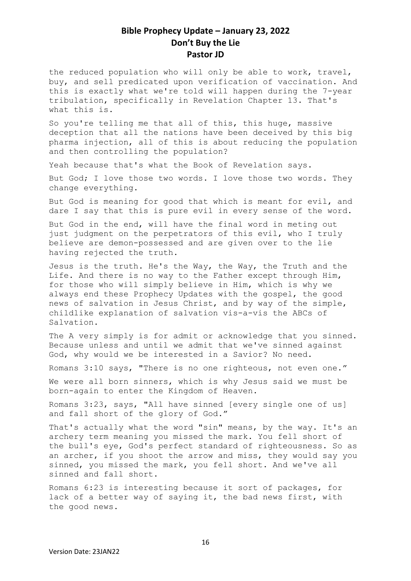the reduced population who will only be able to work, travel, buy, and sell predicated upon verification of vaccination. And this is exactly what we're told will happen during the 7-year tribulation, specifically in Revelation Chapter 13. That's what this is.

So you're telling me that all of this, this huge, massive deception that all the nations have been deceived by this big pharma injection, all of this is about reducing the population and then controlling the population?

Yeah because that's what the Book of Revelation says.

But God; I love those two words. I love those two words. They change everything.

But God is meaning for good that which is meant for evil, and dare I say that this is pure evil in every sense of the word.

But God in the end, will have the final word in meting out just judgment on the perpetrators of this evil, who I truly believe are demon-possessed and are given over to the lie having rejected the truth.

Jesus is the truth. He's the Way, the Way, the Truth and the Life. And there is no way to the Father except through Him, for those who will simply believe in Him, which is why we always end these Prophecy Updates with the gospel, the good news of salvation in Jesus Christ, and by way of the simple, childlike explanation of salvation vis-a-vis the ABCs of Salvation.

The A very simply is for admit or acknowledge that you sinned. Because unless and until we admit that we've sinned against God, why would we be interested in a Savior? No need.

Romans 3:10 says, "There is no one righteous, not even one."

We were all born sinners, which is why Jesus said we must be born-again to enter the Kingdom of Heaven.

Romans 3:23, says, "All have sinned [every single one of us] and fall short of the glory of God."

That's actually what the word "sin" means, by the way. It's an archery term meaning you missed the mark. You fell short of the bull's eye, God's perfect standard of righteousness. So as an archer, if you shoot the arrow and miss, they would say you sinned, you missed the mark, you fell short. And we've all sinned and fall short.

Romans 6:23 is interesting because it sort of packages, for lack of a better way of saying it, the bad news first, with the good news.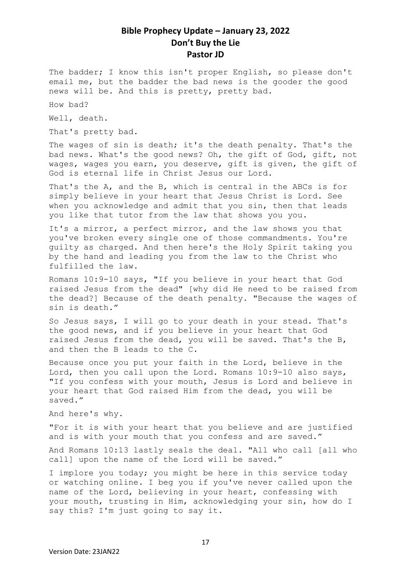The badder; I know this isn't proper English, so please don't email me, but the badder the bad news is the gooder the good news will be. And this is pretty, pretty bad.

How bad?

Well, death.

That's pretty bad.

The wages of sin is death; it's the death penalty. That's the bad news. What's the good news? Oh, the gift of God, gift, not wages, wages you earn, you deserve, gift is given, the gift of God is eternal life in Christ Jesus our Lord.

That's the A, and the B, which is central in the ABCs is for simply believe in your heart that Jesus Christ is Lord. See when you acknowledge and admit that you sin, then that leads you like that tutor from the law that shows you you.

It's a mirror, a perfect mirror, and the law shows you that you've broken every single one of those commandments. You're guilty as charged. And then here's the Holy Spirit taking you by the hand and leading you from the law to the Christ who fulfilled the law.

Romans 10:9-10 says, "If you believe in your heart that God raised Jesus from the dead" [why did He need to be raised from the dead?] Because of the death penalty. "Because the wages of sin is death."

So Jesus says, I will go to your death in your stead. That's the good news, and if you believe in your heart that God raised Jesus from the dead, you will be saved. That's the B, and then the B leads to the C.

Because once you put your faith in the Lord, believe in the Lord, then you call upon the Lord. Romans 10:9-10 also says, "If you confess with your mouth, Jesus is Lord and believe in your heart that God raised Him from the dead, you will be saved."

And here's why.

"For it is with your heart that you believe and are justified and is with your mouth that you confess and are saved."

And Romans 10:13 lastly seals the deal. "All who call [all who call] upon the name of the Lord will be saved."

I implore you today; you might be here in this service today or watching online. I beg you if you've never called upon the name of the Lord, believing in your heart, confessing with your mouth, trusting in Him, acknowledging your sin, how do I say this? I'm just going to say it.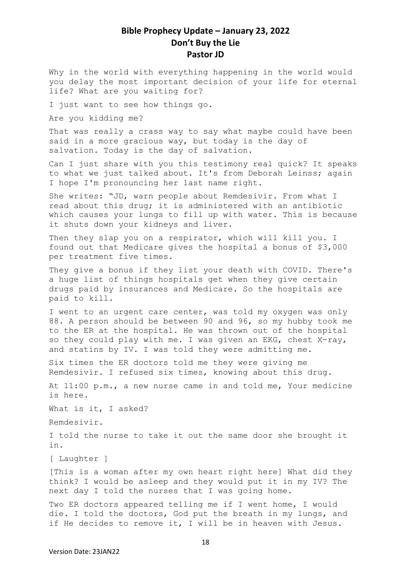Why in the world with everything happening in the world would you delay the most important decision of your life for eternal life? What are you waiting for?

I just want to see how things go.

Are you kidding me?

That was really a crass way to say what maybe could have been said in a more gracious way, but today is the day of salvation. Today is the day of salvation.

Can I just share with you this testimony real quick? It speaks to what we just talked about. It's from Deborah Leinss; again I hope I'm pronouncing her last name right.

She writes: "JD, warn people about Remdesivir. From what I read about this drug; it is administered with an antibiotic which causes your lungs to fill up with water. This is because it shuts down your kidneys and liver.

Then they slap you on a respirator, which will kill you. I found out that Medicare gives the hospital a bonus of \$3,000 per treatment five times.

They give a bonus if they list your death with COVID. There's a huge list of things hospitals get when they give certain drugs paid by insurances and Medicare. So the hospitals are paid to kill.

I went to an urgent care center, was told my oxygen was only 88. A person should be between 90 and 96, so my hubby took me to the ER at the hospital. He was thrown out of the hospital so they could play with me. I was given an EKG, chest X-ray, and statins by IV. I was told they were admitting me.

Six times the ER doctors told me they were giving me Remdesivir. I refused six times, knowing about this drug.

At 11:00 p.m., a new nurse came in and told me, Your medicine is here.

What is it, I asked?

Remdesivir.

I told the nurse to take it out the same door she brought it in.

[ Laughter ]

[This is a woman after my own heart right here] What did they think? I would be asleep and they would put it in my IV? The next day I told the nurses that I was going home.

Two ER doctors appeared telling me if I went home, I would die. I told the doctors, God put the breath in my lungs, and if He decides to remove it, I will be in heaven with Jesus.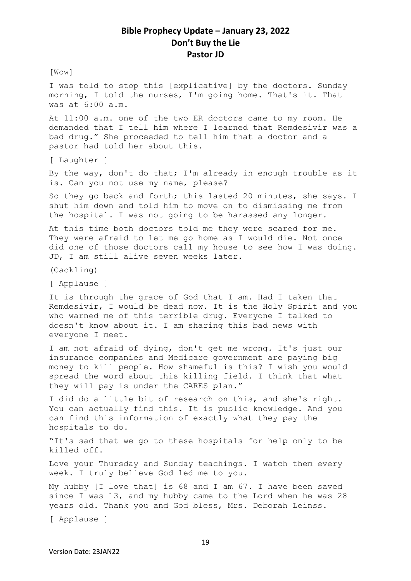[Wow]

I was told to stop this [explicative] by the doctors. Sunday morning, I told the nurses, I'm going home. That's it. That was at 6:00 a.m.

At 11:00 a.m. one of the two ER doctors came to my room. He demanded that I tell him where I learned that Remdesivir was a bad drug." She proceeded to tell him that a doctor and a pastor had told her about this.

[ Laughter ]

By the way, don't do that; I'm already in enough trouble as it is. Can you not use my name, please?

So they go back and forth; this lasted 20 minutes, she says. I shut him down and told him to move on to dismissing me from the hospital. I was not going to be harassed any longer.

At this time both doctors told me they were scared for me. They were afraid to let me go home as I would die. Not once did one of those doctors call my house to see how I was doing. JD, I am still alive seven weeks later.

(Cackling)

[ Applause ]

It is through the grace of God that I am. Had I taken that Remdesivir, I would be dead now. It is the Holy Spirit and you who warned me of this terrible drug. Everyone I talked to doesn't know about it. I am sharing this bad news with everyone I meet.

I am not afraid of dying, don't get me wrong. It's just our insurance companies and Medicare government are paying big money to kill people. How shameful is this? I wish you would spread the word about this killing field. I think that what they will pay is under the CARES plan."

I did do a little bit of research on this, and she's right. You can actually find this. It is public knowledge. And you can find this information of exactly what they pay the hospitals to do.

"It's sad that we go to these hospitals for help only to be killed off.

Love your Thursday and Sunday teachings. I watch them every week. I truly believe God led me to you.

My hubby [I love that] is 68 and I am 67. I have been saved since I was 13, and my hubby came to the Lord when he was 28 years old. Thank you and God bless, Mrs. Deborah Leinss.

[ Applause ]